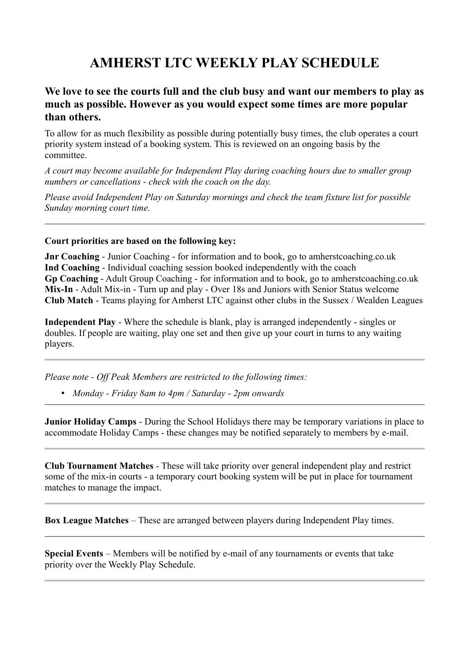## **AMHERST LTC WEEKLY PLAY SCHEDULE**

## **We love to see the courts full and the club busy and want our members to play as much as possible. However as you would expect some times are more popular than others.**

To allow for as much flexibility as possible during potentially busy times, the club operates a court priority system instead of a booking system. This is reviewed on an ongoing basis by the committee.

*A court may become available for Independent Play during coaching hours due to smaller group numbers or cancellations - check with the coach on the day.*

*Please avoid Independent Play on Saturday mornings and check the team fixture list for possible Sunday morning court time.*

## **Court priorities are based on the following key:**

**Jnr Coaching** - Junior Coaching - for information and to book, go to amherstcoaching.co.uk **Ind Coaching** - Individual coaching session booked independently with the coach **Gp Coaching** - Adult Group Coaching - for information and to book, go to amherstcoaching.co.uk **Mix-In** - Adult Mix-in - Turn up and play - Over 18s and Juniors with Senior Status welcome **Club Match** - Teams playing for Amherst LTC against other clubs in the Sussex / Wealden Leagues

**Independent Play** - Where the schedule is blank, play is arranged independently - singles or doubles. If people are waiting, play one set and then give up your court in turns to any waiting players.

*Please note - Off Peak Members are restricted to the following times:*

• *Monday - Friday 8am to 4pm / Saturday - 2pm onwards*

**Junior Holiday Camps** - During the School Holidays there may be temporary variations in place to accommodate Holiday Camps - these changes may be notified separately to members by e-mail.

**Club Tournament Matches** - These will take priority over general independent play and restrict some of the mix-in courts - a temporary court booking system will be put in place for tournament matches to manage the impact.

**Box League Matches** – These are arranged between players during Independent Play times.

**Special Events** – Members will be notified by e-mail of any tournaments or events that take priority over the Weekly Play Schedule.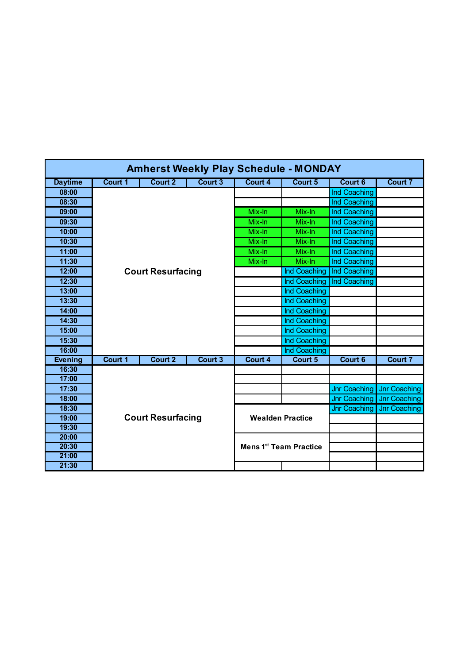| <b>Amherst Weekly Play Schedule - MONDAY</b> |                          |                          |         |         |                                    |                     |                     |  |  |
|----------------------------------------------|--------------------------|--------------------------|---------|---------|------------------------------------|---------------------|---------------------|--|--|
| <b>Daytime</b>                               | Court 1                  | Court 2                  | Court 3 | Court 4 | Court 5                            | Court 6             | <b>Court 7</b>      |  |  |
| 08:00                                        |                          |                          |         |         |                                    | Ind Coaching        |                     |  |  |
| 08:30                                        |                          |                          |         |         |                                    | Ind Coaching        |                     |  |  |
| 09:00                                        |                          |                          |         | Mix-In  | Mix-In                             | Ind Coaching        |                     |  |  |
| 09:30                                        |                          |                          |         | Mix-In  | Mix-In                             | Ind Coaching        |                     |  |  |
| 10:00                                        |                          |                          |         | Mix-In  | Mix-In                             | Ind Coaching        |                     |  |  |
| 10:30                                        |                          |                          |         | Mix-In  | Mix-In                             | Ind Coaching        |                     |  |  |
| 11:00                                        |                          |                          |         | Mix-In  | Mix-In                             | Ind Coaching        |                     |  |  |
| 11:30                                        |                          |                          |         | Mix-In  | Mix-In                             | Ind Coaching        |                     |  |  |
| 12:00                                        | <b>Court Resurfacing</b> |                          |         |         | Ind Coaching                       | Ind Coaching        |                     |  |  |
| 12:30                                        |                          |                          |         |         | Ind Coaching                       | Ind Coaching        |                     |  |  |
| 13:00                                        |                          |                          |         |         | Ind Coaching                       |                     |                     |  |  |
| 13:30                                        |                          |                          |         |         | Ind Coaching                       |                     |                     |  |  |
| 14:00                                        |                          |                          |         |         | Ind Coaching                       |                     |                     |  |  |
| 14:30                                        |                          |                          |         |         | Ind Coaching                       |                     |                     |  |  |
| 15:00                                        |                          |                          |         |         | Ind Coaching                       |                     |                     |  |  |
| 15:30                                        |                          |                          |         |         | Ind Coaching                       |                     |                     |  |  |
| 16:00                                        |                          |                          |         |         | Ind Coaching                       |                     |                     |  |  |
| <b>Evening</b>                               | Court 1                  | <b>Court 2</b>           | Court 3 | Court 4 | Court 5                            | <b>Court 6</b>      | <b>Court 7</b>      |  |  |
| 16:30                                        |                          |                          |         |         |                                    |                     |                     |  |  |
| 17:00                                        |                          |                          |         |         |                                    |                     |                     |  |  |
| 17:30                                        |                          |                          |         |         |                                    | <b>Jnr Coaching</b> | <b>Jnr Coaching</b> |  |  |
| 18:00                                        |                          |                          |         |         |                                    | <b>Jnr Coaching</b> | Jnr Coaching        |  |  |
| 18:30                                        |                          |                          |         |         |                                    | <b>Jnr Coaching</b> | <b>Jnr Coaching</b> |  |  |
| 19:00                                        |                          | <b>Court Resurfacing</b> |         |         | <b>Wealden Practice</b>            |                     |                     |  |  |
| 19:30                                        |                          |                          |         |         |                                    |                     |                     |  |  |
| 20:00                                        |                          |                          |         |         |                                    |                     |                     |  |  |
| 20:30                                        |                          |                          |         |         | Mens 1 <sup>st</sup> Team Practice |                     |                     |  |  |
| 21:00                                        |                          |                          |         |         |                                    |                     |                     |  |  |
| 21:30                                        |                          |                          |         |         |                                    |                     |                     |  |  |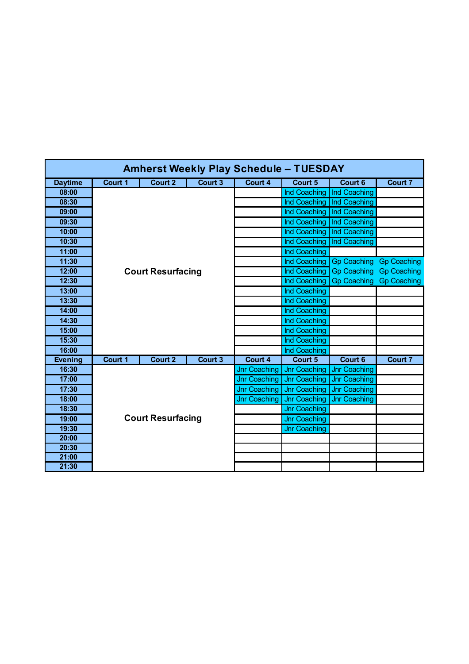| <b>Amherst Weekly Play Schedule - TUESDAY</b> |                          |                          |         |                     |                     |                     |                    |  |  |
|-----------------------------------------------|--------------------------|--------------------------|---------|---------------------|---------------------|---------------------|--------------------|--|--|
| <b>Daytime</b>                                | Court 1                  | Court 2                  | Court 3 | Court 4             | Court 5             | Court <sub>6</sub>  | <b>Court 7</b>     |  |  |
| 08:00                                         |                          |                          |         |                     | Ind Coaching        | Ind Coaching        |                    |  |  |
| 08:30                                         |                          |                          |         |                     | Ind Coaching        | Ind Coaching        |                    |  |  |
| 09:00                                         |                          |                          |         |                     | Ind Coaching        | Ind Coaching        |                    |  |  |
| 09:30                                         |                          |                          |         |                     | Ind Coaching        | Ind Coaching        |                    |  |  |
| 10:00                                         |                          |                          |         |                     | Ind Coaching        | Ind Coaching        |                    |  |  |
| 10:30                                         |                          |                          |         |                     | Ind Coaching        | Ind Coaching        |                    |  |  |
| 11:00                                         |                          |                          |         |                     | Ind Coaching        |                     |                    |  |  |
| 11:30                                         |                          |                          |         |                     | Ind Coaching        | <b>Gp Coaching</b>  | <b>Gp Coaching</b> |  |  |
| 12:00                                         |                          | <b>Court Resurfacing</b> |         |                     | Ind Coaching        | <b>Gp Coaching</b>  | <b>Gp Coaching</b> |  |  |
| 12:30                                         |                          |                          |         |                     | Ind Coaching        | <b>Gp Coaching</b>  | <b>Gp Coaching</b> |  |  |
| 13:00                                         |                          |                          |         |                     | Ind Coaching        |                     |                    |  |  |
| 13:30                                         |                          |                          |         |                     | Ind Coaching        |                     |                    |  |  |
| 14:00                                         |                          |                          |         |                     | Ind Coaching        |                     |                    |  |  |
| 14:30                                         |                          |                          |         |                     | Ind Coaching        |                     |                    |  |  |
| 15:00                                         |                          |                          |         |                     | Ind Coaching        |                     |                    |  |  |
| 15:30                                         |                          |                          |         |                     | Ind Coaching        |                     |                    |  |  |
| 16:00                                         |                          |                          |         |                     | Ind Coaching        |                     |                    |  |  |
| <b>Evening</b>                                | Court 1                  | Court 2                  | Court 3 | Court 4             | Court 5             | Court 6             | Court 7            |  |  |
| 16:30                                         |                          |                          |         | <b>Jnr Coaching</b> | <b>Jnr Coaching</b> | <b>Jnr Coaching</b> |                    |  |  |
| 17:00                                         |                          |                          |         | <b>Jnr Coaching</b> | <b>Jnr Coaching</b> | <b>Jnr Coaching</b> |                    |  |  |
| 17:30                                         |                          |                          |         | <b>Jnr Coaching</b> | Jnr Coaching        | <b>Jnr Coaching</b> |                    |  |  |
| 18:00                                         |                          |                          |         | <b>Jnr Coaching</b> | <b>Jnr Coaching</b> | <b>Jnr Coaching</b> |                    |  |  |
| 18:30                                         |                          |                          |         |                     | <b>Jnr Coaching</b> |                     |                    |  |  |
| 19:00                                         | <b>Court Resurfacing</b> |                          |         |                     | <b>Jnr Coaching</b> |                     |                    |  |  |
| 19:30                                         |                          |                          |         |                     | <b>Jnr Coaching</b> |                     |                    |  |  |
| 20:00                                         |                          |                          |         |                     |                     |                     |                    |  |  |
| 20:30                                         |                          |                          |         |                     |                     |                     |                    |  |  |
| 21:00                                         |                          |                          |         |                     |                     |                     |                    |  |  |
| 21:30                                         |                          |                          |         |                     |                     |                     |                    |  |  |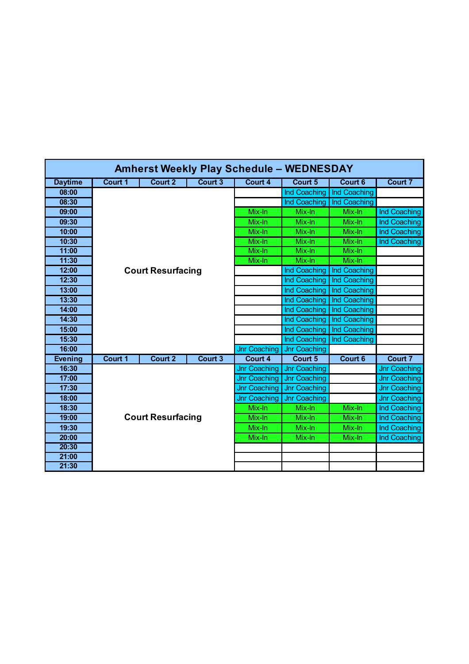| <b>Amherst Weekly Play Schedule - WEDNESDAY</b> |                          |                          |         |                     |                     |              |                     |  |  |
|-------------------------------------------------|--------------------------|--------------------------|---------|---------------------|---------------------|--------------|---------------------|--|--|
| <b>Daytime</b>                                  | Court 1                  | <b>Court 2</b>           | Court 3 | <b>Court 4</b>      | Court 5             | Court 6      | <b>Court 7</b>      |  |  |
| 08:00                                           |                          |                          |         |                     | Ind Coaching        | Ind Coaching |                     |  |  |
| 08:30                                           |                          |                          |         |                     | Ind Coaching        | Ind Coaching |                     |  |  |
| 09:00                                           |                          |                          |         | Mix-In              | Mix-In              | Mix-In       | Ind Coaching        |  |  |
| 09:30                                           |                          |                          |         | Mix-In              | Mix-In              | Mix-In       | Ind Coaching        |  |  |
| 10:00                                           |                          |                          |         | Mix-In              | Mix-In              | Mix-In       | Ind Coaching        |  |  |
| 10:30                                           |                          |                          |         | Mix-In              | Mix-In              | Mix-In       | Ind Coaching        |  |  |
| 11:00                                           |                          |                          |         | Mix-In              | Mix-In              | Mix-In       |                     |  |  |
| 11:30                                           |                          |                          |         | Mix-In              | Mix-In              | Mix-In       |                     |  |  |
| 12:00                                           |                          | <b>Court Resurfacing</b> |         |                     | Ind Coaching        | Ind Coaching |                     |  |  |
| 12:30                                           |                          |                          |         |                     | Ind Coaching        | Ind Coaching |                     |  |  |
| 13:00                                           |                          |                          |         |                     | Ind Coaching        | Ind Coaching |                     |  |  |
| 13:30                                           |                          |                          |         |                     | Ind Coaching        | Ind Coaching |                     |  |  |
| 14:00                                           |                          |                          |         |                     | Ind Coaching        | Ind Coaching |                     |  |  |
| 14:30                                           |                          |                          |         |                     | Ind Coaching        | Ind Coaching |                     |  |  |
| 15:00                                           |                          |                          |         |                     | Ind Coaching        | Ind Coaching |                     |  |  |
| 15:30                                           |                          |                          |         |                     | Ind Coaching        | Ind Coaching |                     |  |  |
| 16:00                                           |                          |                          |         | <b>Jnr Coaching</b> | <b>Jnr Coaching</b> |              |                     |  |  |
| <b>Evening</b>                                  | Court 1                  | Court 2                  | Court 3 | Court 4             | Court 5             | Court 6      | Court 7             |  |  |
| 16:30                                           |                          |                          |         | <b>Jnr Coaching</b> | <b>Jnr Coaching</b> |              | <b>Jnr Coaching</b> |  |  |
| 17:00                                           |                          |                          |         | <b>Jnr Coaching</b> | Jnr Coaching        |              | <b>Jnr Coaching</b> |  |  |
| 17:30                                           |                          |                          |         | <b>Jnr Coaching</b> | Jnr Coaching        |              | <b>Jnr Coaching</b> |  |  |
| 18:00                                           |                          |                          |         | <b>Jnr Coaching</b> | <b>Jnr Coaching</b> |              | <b>Jnr Coaching</b> |  |  |
| 18:30                                           |                          |                          |         | Mix-In              | Mix-In              | Mix-In       | Ind Coaching        |  |  |
| 19:00                                           | <b>Court Resurfacing</b> |                          |         | Mix-In              | Mix-In              | Mix-In       | Ind Coaching        |  |  |
| 19:30                                           |                          |                          |         | Mix-In              | Mix-In              | Mix-In       | Ind Coaching        |  |  |
| 20:00                                           |                          |                          |         | Mix-In              | Mix-In              | Mix-In       | Ind Coaching        |  |  |
| 20:30                                           |                          |                          |         |                     |                     |              |                     |  |  |
| 21:00                                           |                          |                          |         |                     |                     |              |                     |  |  |
| 21:30                                           |                          |                          |         |                     |                     |              |                     |  |  |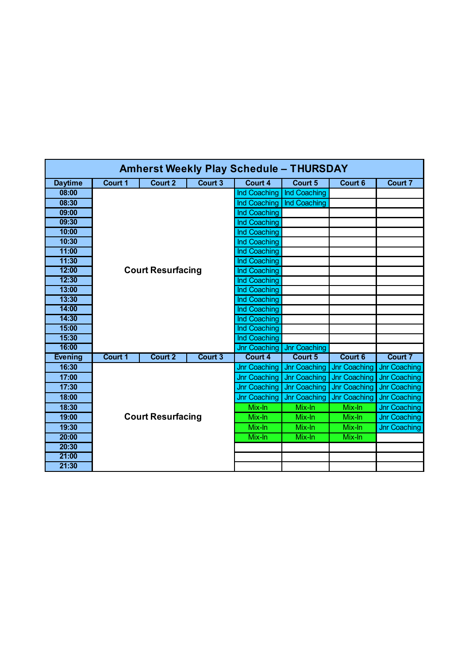| <b>Amherst Weekly Play Schedule - THURSDAY</b> |                          |                          |         |                     |                     |                     |                     |  |  |  |
|------------------------------------------------|--------------------------|--------------------------|---------|---------------------|---------------------|---------------------|---------------------|--|--|--|
| <b>Daytime</b>                                 | Court 1                  | <b>Court 2</b>           | Court 3 | Court 4             | Court 5             | Court 6             | Court 7             |  |  |  |
| 08:00                                          |                          |                          |         | Ind Coaching        | Ind Coaching        |                     |                     |  |  |  |
| 08:30                                          |                          |                          |         | Ind Coaching        | Ind Coaching        |                     |                     |  |  |  |
| 09:00                                          |                          |                          |         | <b>Ind Coaching</b> |                     |                     |                     |  |  |  |
| 09:30                                          |                          |                          |         | Ind Coaching        |                     |                     |                     |  |  |  |
| 10:00                                          |                          |                          |         | Ind Coaching        |                     |                     |                     |  |  |  |
| 10:30                                          |                          |                          |         | Ind Coaching        |                     |                     |                     |  |  |  |
| 11:00                                          |                          |                          |         | Ind Coaching        |                     |                     |                     |  |  |  |
| 11:30                                          |                          |                          |         | Ind Coaching        |                     |                     |                     |  |  |  |
| 12:00                                          |                          | <b>Court Resurfacing</b> |         | Ind Coaching        |                     |                     |                     |  |  |  |
| 12:30                                          |                          |                          |         | <b>Ind Coaching</b> |                     |                     |                     |  |  |  |
| 13:00                                          |                          |                          |         | Ind Coaching        |                     |                     |                     |  |  |  |
| 13:30                                          |                          |                          |         | Ind Coaching        |                     |                     |                     |  |  |  |
| 14:00                                          |                          |                          |         | Ind Coaching        |                     |                     |                     |  |  |  |
| 14:30                                          |                          |                          |         | Ind Coaching        |                     |                     |                     |  |  |  |
| 15:00                                          |                          |                          |         | <b>Ind Coaching</b> |                     |                     |                     |  |  |  |
| 15:30                                          |                          |                          |         | Ind Coaching        |                     |                     |                     |  |  |  |
| 16:00                                          |                          |                          |         | <b>Jnr Coaching</b> | <b>Jnr Coaching</b> |                     |                     |  |  |  |
| <b>Evening</b>                                 | Court 1                  | Court 2                  | Court 3 | Court 4             | Court 5             | Court 6             | Court 7             |  |  |  |
| 16:30                                          |                          |                          |         | <b>Jnr Coaching</b> | Jnr Coaching        | <b>Jnr Coaching</b> | <b>Jnr Coaching</b> |  |  |  |
| 17:00                                          |                          |                          |         | <b>Jnr Coaching</b> | Jnr Coaching        | <b>Jnr Coaching</b> | Jnr Coaching        |  |  |  |
| 17:30                                          |                          |                          |         | <b>Jnr Coaching</b> | Jnr Coaching        | <b>Jnr Coaching</b> | <b>Jnr Coaching</b> |  |  |  |
| 18:00                                          |                          |                          |         | <b>Jnr Coaching</b> | Jnr Coaching        | <b>Jnr Coaching</b> | Jnr Coaching        |  |  |  |
| 18:30                                          |                          |                          |         | Mix-In              | Mix-In              | Mix-In              | Jnr Coaching        |  |  |  |
| 19:00                                          | <b>Court Resurfacing</b> |                          |         | Mix-In              | Mix-In              | Mix-In              | <b>Jnr Coaching</b> |  |  |  |
| 19:30                                          |                          |                          |         | Mix-In              | Mix-In              | Mix-In              | Jnr Coaching        |  |  |  |
| 20:00                                          |                          |                          |         | Mix-In              | Mix-In              | Mix-In              |                     |  |  |  |
| 20:30                                          |                          |                          |         |                     |                     |                     |                     |  |  |  |
| 21:00                                          |                          |                          |         |                     |                     |                     |                     |  |  |  |
| 21:30                                          |                          |                          |         |                     |                     |                     |                     |  |  |  |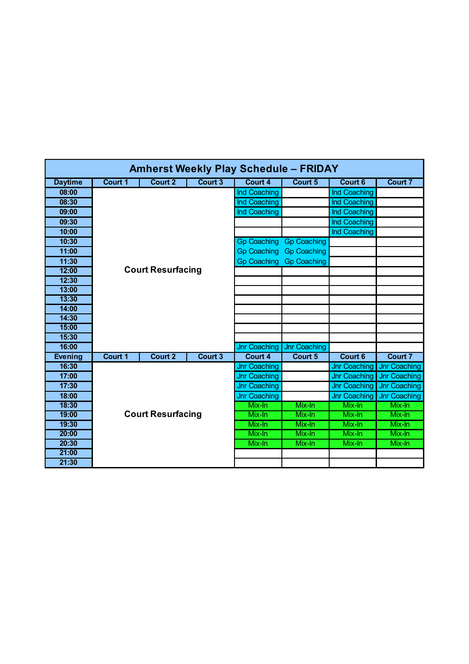| <b>Amherst Weekly Play Schedule - FRIDAY</b> |         |                          |                |                     |                    |                     |                     |  |  |  |
|----------------------------------------------|---------|--------------------------|----------------|---------------------|--------------------|---------------------|---------------------|--|--|--|
| <b>Daytime</b>                               | Court 1 | <b>Court 2</b>           | <b>Court 3</b> | Court 4             | Court 5            | Court 6             | <b>Court 7</b>      |  |  |  |
| 08:00                                        |         |                          |                | Ind Coaching        |                    | Ind Coaching        |                     |  |  |  |
| 08:30                                        |         |                          |                | Ind Coaching        |                    | Ind Coaching        |                     |  |  |  |
| 09:00                                        |         |                          |                | Ind Coaching        |                    | Ind Coaching        |                     |  |  |  |
| 09:30                                        |         |                          |                |                     |                    | Ind Coaching        |                     |  |  |  |
| 10:00                                        |         |                          |                |                     |                    | Ind Coaching        |                     |  |  |  |
| 10:30                                        |         |                          |                | <b>Gp Coaching</b>  | <b>Gp Coaching</b> |                     |                     |  |  |  |
| 11:00                                        |         |                          |                | <b>Gp Coaching</b>  | <b>Gp Coaching</b> |                     |                     |  |  |  |
| 11:30                                        |         |                          |                | <b>Gp Coaching</b>  | <b>Gp Coaching</b> |                     |                     |  |  |  |
| 12:00                                        |         | <b>Court Resurfacing</b> |                |                     |                    |                     |                     |  |  |  |
| 12:30                                        |         |                          |                |                     |                    |                     |                     |  |  |  |
| 13:00                                        |         |                          |                |                     |                    |                     |                     |  |  |  |
| 13:30                                        |         |                          |                |                     |                    |                     |                     |  |  |  |
| 14:00                                        |         |                          |                |                     |                    |                     |                     |  |  |  |
| 14:30                                        |         |                          |                |                     |                    |                     |                     |  |  |  |
| 15:00                                        |         |                          |                |                     |                    |                     |                     |  |  |  |
| 15:30                                        |         |                          |                |                     |                    |                     |                     |  |  |  |
| 16:00                                        |         |                          |                | <b>Jnr Coaching</b> | Jnr Coaching       |                     |                     |  |  |  |
| <b>Evening</b>                               | Court 1 | Court 2                  | Court 3        | Court 4             | Court 5            | Court 6             | Court 7             |  |  |  |
| 16:30                                        |         |                          |                | <b>Jnr Coaching</b> |                    | <b>Jnr Coaching</b> | <b>Jnr Coaching</b> |  |  |  |
| 17:00                                        |         |                          |                | <b>Jnr Coaching</b> |                    | <b>Jnr Coaching</b> | <b>Jnr Coaching</b> |  |  |  |
| 17:30                                        |         |                          |                | <b>Jnr Coaching</b> |                    | <b>Jnr Coaching</b> | <b>Jnr Coaching</b> |  |  |  |
| 18:00                                        |         |                          |                | <b>Jnr Coaching</b> |                    | <b>Jnr Coaching</b> | <b>Jnr Coaching</b> |  |  |  |
| 18:30                                        |         |                          |                | Mix-In              | Mix-In             | Mix-In              | Mix-In              |  |  |  |
| 19:00                                        |         | <b>Court Resurfacing</b> |                | Mix-In              | Mix-In             | Mix-In              | Mix-In              |  |  |  |
| 19:30                                        |         |                          |                | Mix-In              | Mix-In             | Mix-In              | Mix-In              |  |  |  |
| 20:00                                        |         |                          |                | Mix-In              | Mix-In             | Mix-In              | Mix-In              |  |  |  |
| 20:30                                        |         |                          |                | Mix-In              | Mix-In             | Mix-In              | Mix-In              |  |  |  |
| 21:00                                        |         |                          |                |                     |                    |                     |                     |  |  |  |
| 21:30                                        |         |                          |                |                     |                    |                     |                     |  |  |  |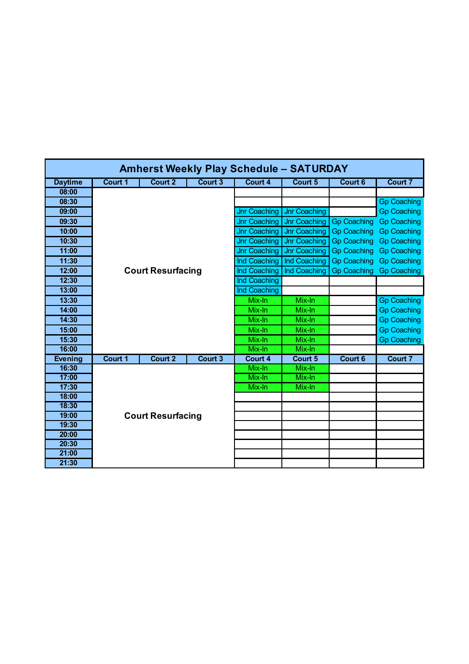| <b>Amherst Weekly Play Schedule - SATURDAY</b> |                          |                          |                |                     |                     |                    |                    |  |  |  |
|------------------------------------------------|--------------------------|--------------------------|----------------|---------------------|---------------------|--------------------|--------------------|--|--|--|
| <b>Daytime</b>                                 | <b>Court 1</b>           | <b>Court 2</b>           | Court 3        | Court 4             | Court 5             | Court 6            | Court 7            |  |  |  |
| 08:00                                          |                          |                          |                |                     |                     |                    |                    |  |  |  |
| 08:30                                          |                          |                          |                |                     |                     |                    | <b>Gp Coaching</b> |  |  |  |
| 09:00                                          |                          |                          |                | <b>Jnr Coaching</b> | <b>Jnr Coaching</b> |                    | <b>Gp Coaching</b> |  |  |  |
| 09:30                                          |                          |                          |                | <b>Jnr Coaching</b> | Jnr Coaching        | <b>Gp Coaching</b> | <b>Gp Coaching</b> |  |  |  |
| 10:00                                          |                          |                          |                | <b>Jnr Coaching</b> | Jnr Coaching        | <b>Gp Coaching</b> | <b>Gp Coaching</b> |  |  |  |
| 10:30                                          |                          |                          |                | <b>Jnr Coaching</b> | Jnr Coaching        | <b>Gp Coaching</b> | <b>Gp Coaching</b> |  |  |  |
| 11:00                                          |                          |                          |                | <b>Jnr Coaching</b> | Jnr Coaching        | <b>Gp Coaching</b> | <b>Gp Coaching</b> |  |  |  |
| 11:30                                          |                          |                          |                | Ind Coaching        | Ind Coaching        | <b>Gp Coaching</b> | <b>Gp Coaching</b> |  |  |  |
| 12:00                                          |                          | <b>Court Resurfacing</b> |                | Ind Coaching        | Ind Coaching        | <b>Gp Coaching</b> | <b>Gp Coaching</b> |  |  |  |
| 12:30                                          |                          |                          |                | Ind Coaching        |                     |                    |                    |  |  |  |
| 13:00                                          |                          |                          |                | <b>Ind Coaching</b> |                     |                    |                    |  |  |  |
| 13:30                                          |                          |                          |                | Mix-In              | Mix-In              |                    | <b>Gp Coaching</b> |  |  |  |
| 14:00                                          |                          |                          |                | Mix-In              | Mix-In              |                    | <b>Gp Coaching</b> |  |  |  |
| 14:30                                          |                          |                          |                | Mix-In              | Mix-In              |                    | <b>Gp Coaching</b> |  |  |  |
| 15:00                                          |                          |                          |                | Mix-In              | Mix-In              |                    | <b>Gp Coaching</b> |  |  |  |
| 15:30                                          |                          |                          |                | Mix-In              | Mix-In              |                    | <b>Gp Coaching</b> |  |  |  |
| 16:00                                          |                          |                          |                | Mix-In              | Mix-In              |                    |                    |  |  |  |
| <b>Evening</b>                                 | Court 1                  | Court 2                  | <b>Court 3</b> | Court 4             | Court 5             | Court 6            | <b>Court 7</b>     |  |  |  |
| 16:30                                          |                          |                          |                | Mix-In              | Mix-In              |                    |                    |  |  |  |
| 17:00                                          |                          |                          |                | Mix-In              | Mix-In              |                    |                    |  |  |  |
| 17:30                                          |                          |                          |                | Mix-In              | Mix-In              |                    |                    |  |  |  |
| 18:00                                          |                          |                          |                |                     |                     |                    |                    |  |  |  |
| 18:30                                          |                          |                          |                |                     |                     |                    |                    |  |  |  |
| 19:00                                          | <b>Court Resurfacing</b> |                          |                |                     |                     |                    |                    |  |  |  |
| 19:30                                          |                          |                          |                |                     |                     |                    |                    |  |  |  |
| 20:00                                          |                          |                          |                |                     |                     |                    |                    |  |  |  |
| 20:30                                          |                          |                          |                |                     |                     |                    |                    |  |  |  |
| 21:00                                          |                          |                          |                |                     |                     |                    |                    |  |  |  |
| 21:30                                          |                          |                          |                |                     |                     |                    |                    |  |  |  |